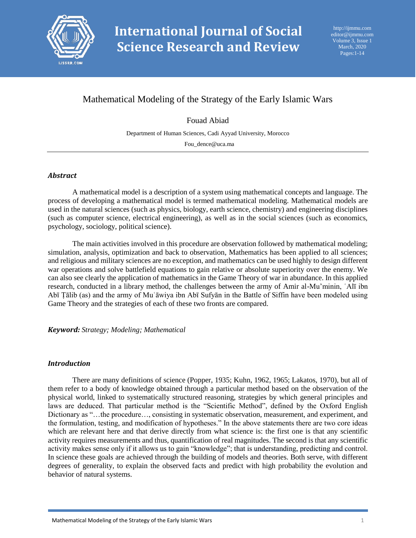

# Mathematical Modeling of the Strategy of the Early Islamic Wars

Fouad Abiad

Department of Human Sciences, Cadi Ayyad University, Morocco

Fou\_dence@uca.ma

### *Abstract*

A mathematical model is a description of a system using mathematical concepts and language. The process of developing a mathematical model is termed mathematical modeling. Mathematical models are used in the natural sciences (such as physics, biology, earth science, chemistry) and engineering disciplines (such as computer science, electrical engineering), as well as in the social sciences (such as economics, psychology, sociology, political science).

The main activities involved in this procedure are observation followed by mathematical modeling; simulation, analysis, optimization and back to observation, Mathematics has been applied to all sciences; and religious and military sciences are no exception, and mathematics can be used highly to design different war operations and solve battlefield equations to gain relative or absolute superiority over the enemy. We can also see clearly the application of mathematics in the Game Theory of war in abundance. In this applied research, conducted in a library method, the challenges between the army of Amir al-Mu'minin, ʿAlī ibn Abī Ṭālib (as) and the army of Muʿāwiya ibn Abī Sufyān in the Battle of Siffin have been modeled using Game Theory and the strategies of each of these two fronts are compared.

*Keyword: Strategy; Modeling; Mathematical*

#### *Introduction*

 There are many definitions of science (Popper, 1935; Kuhn, 1962, 1965; Lakatos, 1970), but all of them refer to a body of knowledge obtained through a particular method based on the observation of the physical world, linked to systematically structured reasoning, strategies by which general principles and laws are deduced. That particular method is the "Scientific Method", defined by the Oxford English Dictionary as "…the procedure…, consisting in systematic observation, measurement, and experiment, and the formulation, testing, and modification of hypotheses." In the above statements there are two core ideas which are relevant here and that derive directly from what science is: the first one is that any scientific activity requires measurements and thus, quantification of real magnitudes. The second is that any scientific activity makes sense only if it allows us to gain "knowledge"; that is understanding, predicting and control. In science these goals are achieved through the building of models and theories. Both serve, with different degrees of generality, to explain the observed facts and predict with high probability the evolution and behavior of natural systems.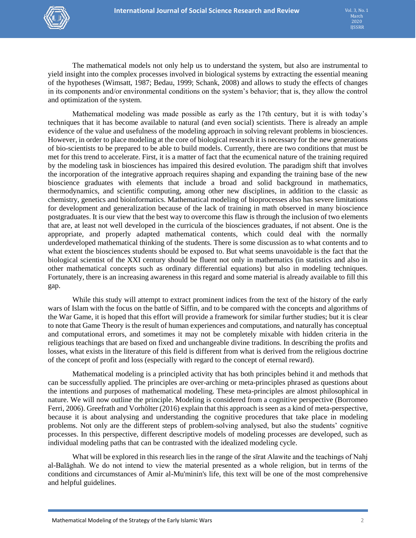

The mathematical models not only help us to understand the system, but also are instrumental to yield insight into the complex processes involved in biological systems by extracting the essential meaning of the hypotheses (Wimsatt, 1987; Bedau, 1999; Schank, 2008) and allows to study the effects of changes in its components and/or environmental conditions on the system's behavior; that is, they allow the control and optimization of the system.

 Mathematical modeling was made possible as early as the 17th century, but it is with today's techniques that it has become available to natural (and even social) scientists. There is already an ample evidence of the value and usefulness of the modeling approach in solving relevant problems in biosciences. However, in order to place modeling at the core of biological research it is necessary for the new generations of bio-scientists to be prepared to be able to build models. Currently, there are two conditions that must be met for this trend to accelerate. First, it is a matter of fact that the ecumenical nature of the training required by the modeling task in biosciences has impaired this desired evolution. The paradigm shift that involves the incorporation of the integrative approach requires shaping and expanding the training base of the new bioscience graduates with elements that include a broad and solid background in mathematics, thermodynamics, and scientific computing, among other new disciplines, in addition to the classic as chemistry, genetics and bioinformatics. Mathematical modeling of bioprocesses also has severe limitations for development and generalization because of the lack of training in math observed in many bioscience postgraduates. It is our view that the best way to overcome this flaw is through the inclusion of two elements that are, at least not well developed in the curricula of the biosciences graduates, if not absent. One is the appropriate, and properly adapted mathematical contents, which could deal with the normally underdeveloped mathematical thinking of the students. There is some discussion as to what contents and to what extent the biosciences students should be exposed to. But what seems unavoidable is the fact that the biological scientist of the XXI century should be fluent not only in mathematics (in statistics and also in other mathematical concepts such as ordinary differential equations) but also in modeling techniques. Fortunately, there is an increasing awareness in this regard and some material is already available to fill this gap.

 While this study will attempt to extract prominent indices from the text of the history of the early wars of Islam with the focus on the battle of Siffin, and to be compared with the concepts and algorithms of the War Game, it is hoped that this effort will provide a framework for similar further studies; but it is clear to note that Game Theory is the result of human experiences and computations, and naturally has conceptual and computational errors, and sometimes it may not be completely mixable with hidden criteria in the religious teachings that are based on fixed and unchangeable divine traditions. In describing the profits and losses, what exists in the literature of this field is different from what is derived from the religious doctrine of the concept of profit and loss (especially with regard to the concept of eternal reward).

Mathematical modeling is a principled activity that has both principles behind it and methods that can be successfully applied. The principles are over-arching or meta-principles phrased as questions about the intentions and purposes of mathematical modeling. These meta-principles are almost philosophical in nature. We will now outline the principle. Modeling is considered from a cognitive perspective (Borromeo Ferri, 2006). Greefrath and Vorhölter (2016) explain that this approach is seen as a kind of meta-perspective, because it is about analysing and understanding the cognitive procedures that take place in modeling problems. Not only are the different steps of problem-solving analysed, but also the students' cognitive processes. In this perspective, different descriptive models of modeling processes are developed, such as individual modeling paths that can be contrasted with the idealized modeling cycle.

What will be explored in this research lies in the range of the sīrat Alawite and the teachings of Nahj al-Balāghah. We do not intend to view the material presented as a whole religion, but in terms of the conditions and circumstances of Amir al-Mu'minin's life, this text will be one of the most comprehensive and helpful guidelines.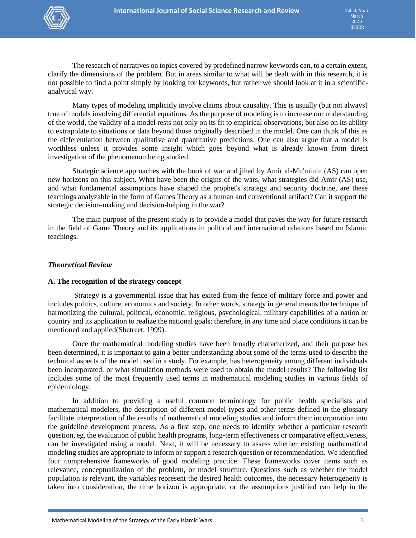

 The research of narratives on topics covered by predefined narrow keywords can, to a certain extent, clarify the dimensions of the problem. But in areas similar to what will be dealt with in this research, it is not possible to find a point simply by looking for keywords, but rather we should look at it in a scientificanalytical way.

Many types of modeling implicitly involve claims about causality. This is usually (but not always) true of models involving differential equations. As the purpose of modeling is to increase our understanding of the world, the validity of a model rests not only on its fit to empirical observations, but also on its ability to extrapolate to situations or data beyond those originally described in the model. One can think of this as the differentiation between qualitative and quantitative predictions. One can also argue that a model is worthless unless it provides some insight which goes beyond what is already known from direct investigation of the phenomenon being studied.

 Strategic science approaches with the book of war and jihad by Amir al-Mu'minin (AS) can open new horizons on this subject. What have been the origins of the wars, what strategies did Amir (AS) use, and what fundamental assumptions have shaped the prophet's strategy and security doctrine, are these teachings analyzable in the form of Games Theory as a human and conventional artifact? Can it support the strategic decision-making and decision-helping in the war?

 The main purpose of the present study is to provide a model that paves the way for future research in the field of Game Theory and its applications in political and international relations based on Islamic teachings.

#### *Theoretical Review*

#### **A. The recognition of the strategy concept**

 Strategy is a governmental issue that has exited from the fence of military force and power and includes politics, culture, economics and society. In other words, strategy in general means the technique of harmonizing the cultural, political, economic, religious, psychological, military capabilities of a nation or country and its application to realize the national goals; therefore, in any time and place conditions it can be mentioned and applied(Shetreet, 1999).

Once the mathematical modeling studies have been broadly characterized, and their purpose has been determined, it is important to gain a better understanding about some of the terms used to describe the technical aspects of the model used in a study. For example, has heterogeneity among different individuals been incorporated, or what simulation methods were used to obtain the model results? The following list includes some of the most frequently used terms in mathematical modeling studies in various fields of epidemiology.

In addition to providing a useful common terminology for public health specialists and mathematical modelers, the description of different model types and other terms defined in the glossary facilitate interpretation of the results of mathematical modeling studies and inform their incorporation into the guideline development process. As a first step, one needs to identify whether a particular research question, eg, the evaluation of public health programs, long-term effectiveness or comparative effectiveness, can be investigated using a model. Next, it will be necessary to assess whether existing mathematical modeling studies are appropriate to inform or support a research question or recommendation. We identified four comprehensive frameworks of good modeling practice. These frameworks cover items such as relevance, conceptualization of the problem, or model structure. Questions such as whether the model population is relevant, the variables represent the desired health outcomes, the necessary heterogeneity is taken into consideration, the time horizon is appropriate, or the assumptions justified can help in the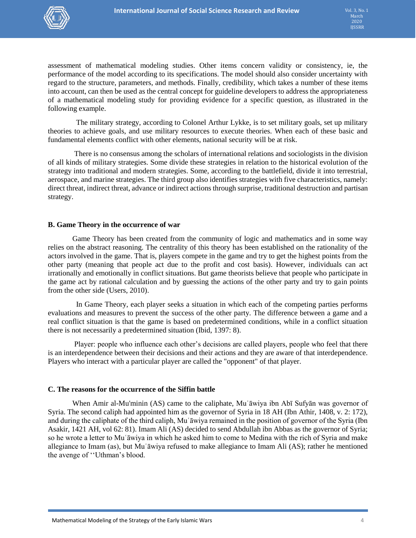

assessment of mathematical modeling studies. Other items concern validity or consistency, ie, the performance of the model according to its specifications. The model should also consider uncertainty with regard to the structure, parameters, and methods. Finally, credibility, which takes a number of these items into account, can then be used as the central concept for guideline developers to address the appropriateness of a mathematical modeling study for providing evidence for a specific question, as illustrated in the following example.

 The military strategy, according to Colonel Arthur Lykke, is to set military goals, set up military theories to achieve goals, and use military resources to execute theories. When each of these basic and fundamental elements conflict with other elements, national security will be at risk.

There is no consensus among the scholars of international relations and sociologists in the division of all kinds of military strategies. Some divide these strategies in relation to the historical evolution of the strategy into traditional and modern strategies. Some, according to the battlefield, divide it into terrestrial, aerospace, and marine strategies. The third group also identifies strategies with five characteristics, namely: direct threat, indirect threat, advance or indirect actions through surprise, traditional destruction and partisan strategy.

#### **B. Game Theory in the occurrence of war**

 Game Theory has been created from the community of logic and mathematics and in some way relies on the abstract reasoning. The centrality of this theory has been established on the rationality of the actors involved in the game. That is, players compete in the game and try to get the highest points from the other party (meaning that people act due to the profit and cost basis). However, individuals can act irrationally and emotionally in conflict situations. But game theorists believe that people who participate in the game act by rational calculation and by guessing the actions of the other party and try to gain points from the other side (Users, 2010).

 In Game Theory, each player seeks a situation in which each of the competing parties performs evaluations and measures to prevent the success of the other party. The difference between a game and a real conflict situation is that the game is based on predetermined conditions, while in a conflict situation there is not necessarily a predetermined situation (Ibid, 1397: 8).

 Player: people who influence each other's decisions are called players, people who feel that there is an interdependence between their decisions and their actions and they are aware of that interdependence. Players who interact with a particular player are called the "opponent" of that player.

#### **C. The reasons for the occurrence of the Siffin battle**

 When Amir al-Mu'minin (AS) came to the caliphate, Muʿāwiya ibn Abī Sufyān was governor of Syria. The second caliph had appointed him as the governor of Syria in 18 AH (Ibn Athir, 1408, v. 2: 172), and during the caliphate of the third caliph, Muʿāwiya remained in the position of governor of the Syria (Ibn Asakir, 1421 AH, vol 62: 81). Imam Ali (AS) decided to send Abdullah ibn Abbas as the governor of Syria; so he wrote a letter to Muʿāwiya in which he asked him to come to Medina with the rich of Syria and make allegiance to Imam (as), but Muʿāwiya refused to make allegiance to Imam Ali (AS); rather he mentioned the avenge of ''Uthman's blood.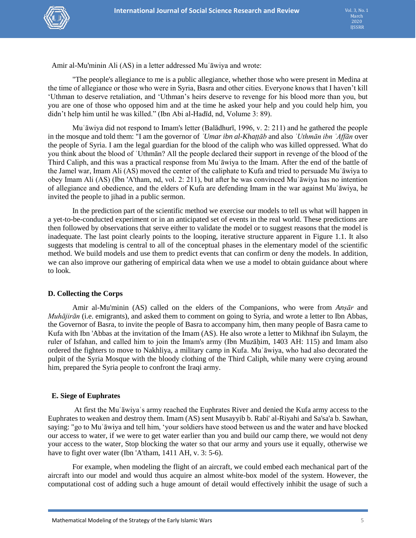

Amir al-Mu'minin Ali (AS) in a letter addressed Muʿāwiya and wrote:

"The people's allegiance to me is a public allegiance, whether those who were present in Medina at the time of allegiance or those who were in Syria, Basra and other cities. Everyone knows that I haven't kill 'Uthman to deserve retaliation, and 'Uthman's heirs deserve to revenge for his blood more than you, but you are one of those who opposed him and at the time he asked your help and you could help him, you didn't help him until he was killed." (Ibn Abi al-Hadīd, nd, Volume 3: 89).

 Muʿāwiya did not respond to Imam's letter (Balādhurī, 1996, v. 2: 211) and he gathered the people in the mosque and told them: "I am the governor of *ʿUmar ibn al-Khaṭṭāb* and also *ʿUthmān ibn ʿAffān* over the people of Syria. I am the legal guardian for the blood of the caliph who was killed oppressed. What do you think about the blood of ʿUthmān? All the people declared their support in revenge of the blood of the Third Caliph, and this was a practical response from Muʿāwiya to the Imam. After the end of the battle of the Jamel war, Imam Ali (AS) moved the center of the caliphate to Kufa and tried to persuade Muʿāwiya to obey Imam Ali (AS) (Ibn 'A'tham, nd, vol. 2: 211), but after he was convinced Muʿāwiya has no intention of allegiance and obedience, and the elders of Kufa are defending Imam in the war against Muʿāwiya, he invited the people to jihad in a public sermon.

In the prediction part of the scientific method we exercise our models to tell us what will happen in a yet-to-be-conducted experiment or in an anticipated set of events in the real world. These predictions are then followed by observations that serve either to validate the model or to suggest reasons that the model is inadequate. The last point clearly points to the looping, iterative structure apparent in Figure 1.1. It also suggests that modeling is central to all of the conceptual phases in the elementary model of the scientific method. We build models and use them to predict events that can confirm or deny the models. In addition, we can also improve our gathering of empirical data when we use a model to obtain guidance about where to look.

#### **D. Collecting the Corps**

 Amir al-Mu'minin (AS) called on the elders of the Companions, who were from *Anṣār* and *Muhājirān* (i.e. emigrants), and asked them to comment on going to Syria, and wrote a letter to Ibn Abbas, the Governor of Basra, to invite the people of Basra to accompany him, then many people of Basra came to Kufa with Ibn 'Abbas at the invitation of the Imam (AS). He also wrote a letter to Mikhnaf ibn Sulaym, the ruler of Isfahan, and called him to join the Imam's army (Ibn Muzāhim, 1403 AH: 115) and Imam also ordered the fighters to move to Nakhliya, a military camp in Kufa. Muʿāwiya, who had also decorated the pulpit of the Syria Mosque with the bloody clothing of the Third Caliph, while many were crying around him, prepared the Syria people to confront the Iraqi army.

#### **E. Siege of Euphrates**

 At first the Muʿāwiyaʿs army reached the Euphrates River and denied the Kufa army access to the Euphrates to weaken and destroy them. Imam (AS) sent Musayyib b. Rabi' al-Riyahi and Sa'sa'a b. Sawhan, saying: "go to Muʿāwiya and tell him, 'your soldiers have stood between us and the water and have blocked our access to water, if we were to get water earlier than you and build our camp there, we would not deny your access to the water, Stop blocking the water so that our army and yours use it equally, otherwise we have to fight over water (Ibn 'A'tham, 1411 AH, v. 3: 5-6).

For example, when modeling the flight of an aircraft, we could embed each mechanical part of the aircraft into our model and would thus acquire an almost white-box model of the system. However, the computational cost of adding such a huge amount of detail would effectively inhibit the usage of such a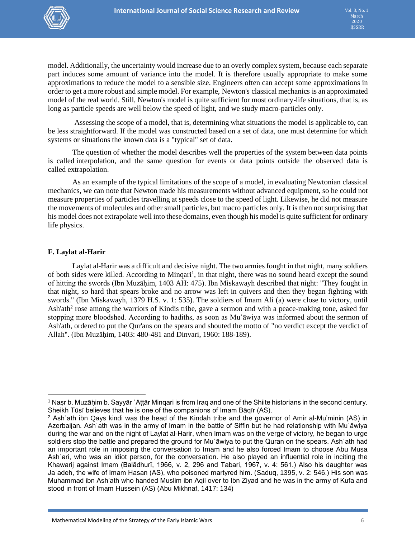

model. Additionally, the uncertainty would increase due to an overly complex system, because each separate part induces some amount of variance into the model. It is therefore usually appropriate to make some approximations to reduce the model to a sensible size. Engineers often can accept some approximations in order to get a more robust and simple model. For example, [Newton's](https://en.wikipedia.org/wiki/Isaac_Newton) [classical mechanics](https://en.wikipedia.org/wiki/Classical_mechanics) is an approximated model of the real world. Still, Newton's model is quite sufficient for most ordinary-life situations, that is, as long as particle speeds are well below the [speed of light,](https://en.wikipedia.org/wiki/Speed_of_light) and we study macro-particles only.

 Assessing the scope of a model, that is, determining what situations the model is applicable to, can be less straightforward. If the model was constructed based on a set of data, one must determine for which systems or situations the known data is a "typical" set of data.

The question of whether the model describes well the properties of the system between data points is called [interpolation,](https://en.wikipedia.org/wiki/Interpolation) and the same question for events or data points outside the observed data is called [extrapolation.](https://en.wikipedia.org/wiki/Extrapolation)

As an example of the typical limitations of the scope of a model, in evaluating Newtonian [classical](https://en.wikipedia.org/wiki/Classical_mechanics)  [mechanics,](https://en.wikipedia.org/wiki/Classical_mechanics) we can note that Newton made his measurements without advanced equipment, so he could not measure properties of particles travelling at speeds close to the speed of light. Likewise, he did not measure the movements of molecules and other small particles, but macro particles only. It is then not surprising that his model does not extrapolate well into these domains, even though his model is quite sufficient for ordinary life physics.

#### **F. Laylat al-Harir**

 $\overline{\phantom{a}}$ 

Laylat al-Harir was a difficult and decisive night. The two armies fought in that night, many soldiers of both sides were killed. According to Minqari<sup>1</sup>, in that night, there was no sound heard except the sound of hitting the swords (Ibn Muzāḥim, 1403 AH: 475). Ibn Miskawayh described that night: "They fought in that night, so hard that spears broke and no arrow was left in quivers and then they began fighting with swords." (Ibn Miskawayh, 1379 H.S. v. 1: 535). The soldiers of Imam Ali (a) were close to victory, until Ash'ath<sup>2</sup> rose among the warriors of Kindis tribe, gave a sermon and with a peace-making tone, asked for stopping more bloodshed. According to hadiths, as soon as Muʿāwiya was informed about the sermon of Ash'ath, ordered to put the Qur'ans on the spears and shouted the motto of "no verdict except the verdict of Allah". (Ibn Muzāḥim, 1403: 480-481 and Dinvari, 1960: 188-189).

<sup>1</sup> Naṣr b. Muzāḥim b. Sayyār ʿAṭṭār Minqari is from Iraq and one of the Shiite historians in the second century. Sheikh Tūsī believes that he is one of the companions of Imam Bāqīr (AS).

<sup>2</sup> Ashʿath ibn Qays kindi was the head of the Kindah tribe and the governor of Amir al-Mu'minin (AS) in Azerbaijan. Ashʿath was in the army of Imam in the battle of Siffin but he had relationship with Muʿāwiya during the war and on the night of Laylat al-Harir, when Imam was on the verge of victory, he began to urge soldiers stop the battle and prepared the ground for Muʿāwiya to put the Quran on the spears. Ashʿath had an important role in imposing the conversation to Imam and he also forced Imam to choose Abu Musa Ashʿari, who was an idiot person, for the conversation. He also played an influential role in inciting the Khawarij against Imam (Balādhurī, 1966, v. 2, 296 and Tabari, 1967, v. 4: 561.) Also his daughter was Jaʿadeh, the wife of Imam Hasan (AS), who poisoned martyred him. (Saduq, 1395, v. 2: 546.) His son was Muhammad ibn Ash'ath who handed Muslim ibn Aqil over to Ibn Ziyad and he was in the army of Kufa and stood in front of Imam Hussein (AS) (Abu Mikhnaf, 1417: 134)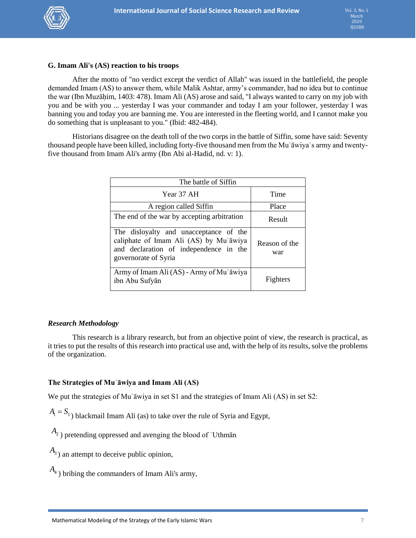

#### **G. Imam Ali's (AS) reaction to his troops**

After the motto of "no verdict except the verdict of Allah" was issued in the battlefield, the people demanded Imam (AS) to answer them, while Malik Ashtar, army's commander, had no idea but to continue the war (Ibn Muzāḥim, 1403: 478). Imam Ali (AS) arose and said, "I always wanted to carry on my job with you and be with you ... yesterday I was your commander and today I am your follower, yesterday I was banning you and today you are banning me. You are interested in the fleeting world, and I cannot make you do something that is unpleasant to you." (Ibid: 482-484).

Historians disagree on the death toll of the two corps in the battle of Siffin, some have said: Seventy thousand people have been killed, including forty-five thousand men from the Muʿāwiyaʿs army and twentyfive thousand from Imam Ali's army (Ibn Abi al-Hadid, nd. v: 1).

| The battle of Siffin                                                                                                                               |                      |
|----------------------------------------------------------------------------------------------------------------------------------------------------|----------------------|
| Year 37 AH                                                                                                                                         | Time                 |
| A region called Siffin                                                                                                                             | Place                |
| The end of the war by accepting arbitration                                                                                                        | Result               |
| The disloyalty and unacceptance of the<br>caliphate of Imam Ali (AS) by Mu'āwiya<br>and declaration of independence in the<br>governorate of Syria | Reason of the<br>war |
| Army of Imam Ali (AS) - Army of Mu'āwiya<br>ibn Abu Sufyān                                                                                         | Fighters             |

## *Research Methodology*

 This research is a library research, but from an objective point of view, the research is practical, as it tries to put the results of this research into practical use and, with the help of its results, solve the problems of the organization.

## **The Strategies of Muʿāwiya and Imam Ali (AS)**

We put the strategies of Mu<sup>s</sup> awiya in set S1 and the strategies of Imam Ali (AS) in set S2:

 $A_{\rm l} = S_{\rm l}$ ) blackmail Imam Ali (as) to take over the rule of Syria and Egypt,

*A*2 ) pretending oppressed and avenging the blood of ʿUthmān

 $A_3$ ) an attempt to deceive public opinion,

 $A_4$ ) bribing the commanders of Imam Ali's army,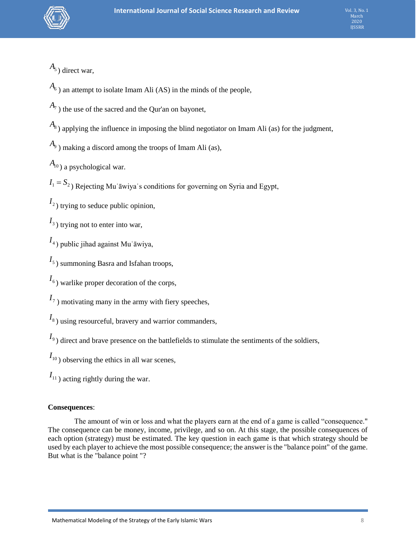

Vol. 3, No. 1 March 2020 IJSSRR

*A*5 ) direct war,

 $A_6$ ) an attempt to isolate Imam Ali (AS) in the minds of the people,

 $A_7$ ) the use of the sacred and the Qur'an on bayonet,

 $A_8$ ) applying the influence in imposing the blind negotiator on Imam Ali (as) for the judgment,

*A*9 ) making a discord among the troops of Imam Ali (as),

*A*<sup>10</sup> ) a psychological war.

 $I_1 = S_2$ ) Rejecting Muʿāwiyaʿs conditions for governing on Syria and Egypt,

 $I_2$ ) trying to seduce public opinion,

 $I_3$ ) trying not to enter into war,

4 *I* ) public jihad against Muʿāwiya,

5 *I* ) summoning Basra and Isfahan troops,

 $I_6$ ) warlike proper decoration of the corps,

 $I_7$ ) motivating many in the army with fiery speeches,

I<sub>8</sub>) using resourceful, bravery and warrior commanders,

 $I_9$ ) direct and brave presence on the battlefields to stimulate the sentiments of the soldiers,

 $I_{10}$ ) observing the ethics in all war scenes,

 $I_{11}$ ) acting rightly during the war.

## **Consequences**:

 The amount of win or loss and what the players earn at the end of a game is called "consequence." The consequence can be money, income, privilege, and so on. At this stage, the possible consequences of each option (strategy) must be estimated. The key question in each game is that which strategy should be used by each player to achieve the most possible consequence; the answer is the "balance point" of the game. But what is the "balance point "?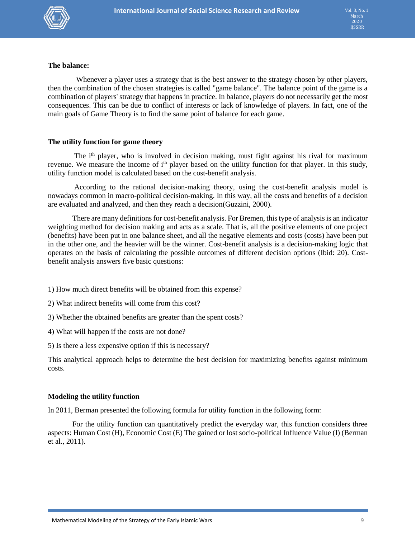

#### **The balance:**

 Whenever a player uses a strategy that is the best answer to the strategy chosen by other players, then the combination of the chosen strategies is called "game balance". The balance point of the game is a combination of players' strategy that happens in practice. In balance, players do not necessarily get the most consequences. This can be due to conflict of interests or lack of knowledge of players. In fact, one of the main goals of Game Theory is to find the same point of balance for each game.

#### **The utility function for game theory**

The i<sup>th</sup> player, who is involved in decision making, must fight against his rival for maximum revenue. We measure the income of i<sup>th</sup> player based on the utility function for that player. In this study, utility function model is calculated based on the cost-benefit analysis.

According to the rational decision-making theory, using the cost-benefit analysis model is nowadays common in macro-political decision-making. In this way, all the costs and benefits of a decision are evaluated and analyzed, and then they reach a decision(Guzzini, 2000).

 There are many definitions for cost-benefit analysis. For Bremen, this type of analysis is an indicator weighting method for decision making and acts as a scale. That is, all the positive elements of one project (benefits) have been put in one balance sheet, and all the negative elements and costs (costs) have been put in the other one, and the heavier will be the winner. Cost-benefit analysis is a decision-making logic that operates on the basis of calculating the possible outcomes of different decision options (Ibid: 20). Costbenefit analysis answers five basic questions:

- 1) How much direct benefits will be obtained from this expense?
- 2) What indirect benefits will come from this cost?
- 3) Whether the obtained benefits are greater than the spent costs?
- 4) What will happen if the costs are not done?
- 5) Is there a less expensive option if this is necessary?

This analytical approach helps to determine the best decision for maximizing benefits against minimum costs.

#### **Modeling the utility function**

In 2011, Berman presented the following formula for utility function in the following form:

For the utility function can quantitatively predict the everyday war, this function considers three aspects: Human Cost (H), Economic Cost (E) The gained or lost socio-political Influence Value (I) (Berman et al., 2011).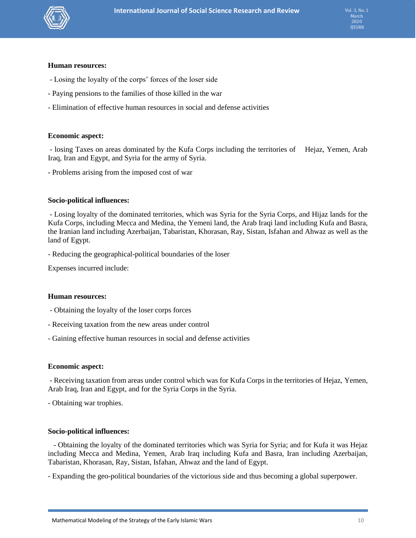

#### **Human resources:**

- Losing the loyalty of the corps' forces of the loser side
- Paying pensions to the families of those killed in the war
- Elimination of effective human resources in social and defense activities

#### **Economic aspect:**

- losing Taxes on areas dominated by the Kufa Corps including the territories of Hejaz, Yemen, Arab Iraq, Iran and Egypt, and Syria for the army of Syria.

- Problems arising from the imposed cost of war

#### **Socio-political influences:**

- Losing loyalty of the dominated territories, which was Syria for the Syria Corps, and Hijaz lands for the Kufa Corps, including Mecca and Medina, the Yemeni land, the Arab Iraqi land including Kufa and Basra, the Iranian land including Azerbaijan, Tabaristan, Khorasan, Ray, Sistan, Isfahan and Ahwaz as well as the land of Egypt.

- Reducing the geographical-political boundaries of the loser

Expenses incurred include:

#### **Human resources:**

- Obtaining the loyalty of the loser corps forces
- Receiving taxation from the new areas under control
- Gaining effective human resources in social and defense activities

#### **Economic aspect:**

- Receiving taxation from areas under control which was for Kufa Corps in the territories of Hejaz, Yemen, Arab Iraq, Iran and Egypt, and for the Syria Corps in the Syria.

- Obtaining war trophies.

#### **Socio-political influences:**

 - Obtaining the loyalty of the dominated territories which was Syria for Syria; and for Kufa it was Hejaz including Mecca and Medina, Yemen, Arab Iraq including Kufa and Basra, Iran including Azerbaijan, Tabaristan, Khorasan, Ray, Sistan, Isfahan, Ahwaz and the land of Egypt.

- Expanding the geo-political boundaries of the victorious side and thus becoming a global superpower.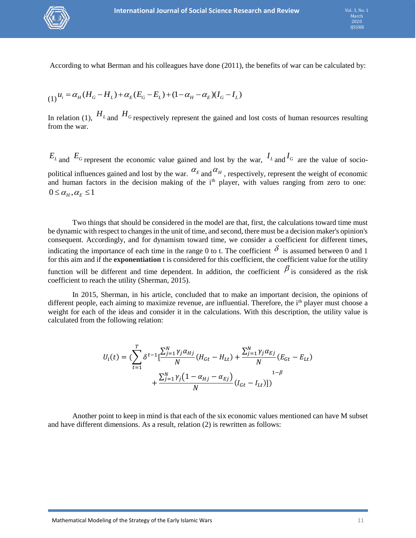

According to what Berman and his colleagues have done (2011), the benefits of war can be calculated by:

$$
(1)^{u_i} = \alpha_H (H_G - H_L) + \alpha_E (E_G - E_L) + (1 - \alpha_H - \alpha_E)(I_G - I_L)
$$

In relation (1),  $H_L$  and  $H_G$  respectively represent the gained and lost costs of human resources resulting from the war.

 $E_L$  and  $E_G$  represent the economic value gained and lost by the war,  $I_L$  and  $I_G$  are the value of sociopolitical influences gained and lost by the war.  $\alpha_E$  and  $\alpha_H$ , respectively, represent the weight of economic and human factors in the decision making of the i<sup>th</sup> player, with values ranging from zero to one:  $0 \leq \alpha_{H}, \alpha_{F} \leq 1$ 

Two things that should be considered in the model are that, first, the calculations toward time must be dynamic with respect to changes in the unit of time, and second, there must be a decision maker's opinion's consequent. Accordingly, and for dynamism toward time, we consider a coefficient for different times, indicating the importance of each time in the range 0 to t. The coefficient  $\delta$  is assumed between 0 and 1 for this aim and if the **exponentiation** t is considered for this coefficient, the coefficient value for the utility function will be different and time dependent. In addition, the coefficient  $\beta$  is considered as the risk coefficient to reach the utility (Sherman, 2015).

In 2015, Sherman, in his article, concluded that to make an important decision, the opinions of different people, each aiming to maximize revenue, are influential. Therefore, the i<sup>th</sup> player must choose a weight for each of the ideas and consider it in the calculations. With this description, the utility value is calculated from the following relation:

$$
U_i(t) = (\sum_{t=1}^T \delta^{t-1} \left[ \frac{\sum_{j=1}^N \gamma_j \alpha_{Hj}}{N} (H_{Gt} - H_{Lt}) + \frac{\sum_{j=1}^N \gamma_j \alpha_{Ej}}{N} (E_{Gt} - E_{Lt}) + \frac{\sum_{j=1}^N \gamma_j (1 - \alpha_{Hj} - \alpha_{Ej})}{N} (I_{Gt} - I_{Lt}) \right])
$$

Another point to keep in mind is that each of the six economic values mentioned can have M subset and have different dimensions. As a result, relation (2) is rewritten as follows: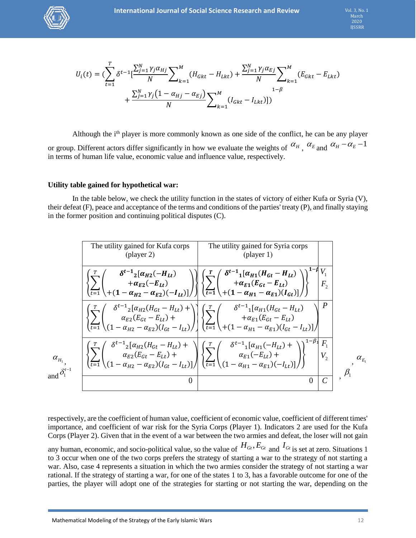

$$
U_i(t) = (\sum_{t=1}^T \delta^{t-1} \left[ \frac{\sum_{j=1}^N \gamma_j \alpha_{Hj}}{N} \sum_{k=1}^M (H_{Gkt} - H_{Lkt}) + \frac{\sum_{j=1}^N \gamma_j \alpha_{Ej}}{N} \sum_{k=1}^M (E_{Gkt} - E_{Lkt}) + \frac{\sum_{j=1}^N \gamma_j (1 - \alpha_{Hj} - \alpha_{Ej})}{N} \sum_{k=1}^M (I_{Gkt} - I_{Lkt}) ] )
$$

Although the  $i<sup>th</sup>$  player is more commonly known as one side of the conflict, he can be any player or group. Different actors differ significantly in how we evaluate the weights of  $\alpha_H$ ,  $\alpha_E$  and  $\alpha_H - \alpha_E - 1$ in terms of human life value, economic value and influence value, respectively.

#### **Utility table gained for hypothetical war:**

 In the table below, we check the utility function in the states of victory of either Kufa or Syria (V), their defeat (F), peace and acceptance of the terms and conditions of the parties' treaty (P), and finally staying in the former position and continuing political disputes (C).



respectively, are the coefficient of human value, coefficient of economic value, coefficient of different times' importance, and coefficient of war risk for the Syria Corps (Player 1). Indicators 2 are used for the Kufa Corps (Player 2). Given that in the event of a war between the two armies and defeat, the loser will not gain any human, economic, and socio-political value, so the value of  $H_{G_t}, E_{G_t}$  and  $I_{G_t}$  is set at zero. Situations 1 to 3 occur when one of the two corps prefers the strategy of starting a war to the strategy of not starting a war. Also, case 4 represents a situation in which the two armies consider the strategy of not starting a war rational. If the strategy of starting a war, for one of the states 1 to 3, has a favorable outcome for one of the parties, the player will adopt one of the strategies for starting or not starting the war, depending on the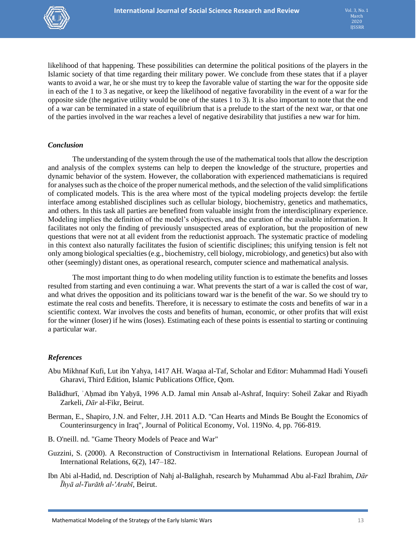

likelihood of that happening. These possibilities can determine the political positions of the players in the Islamic society of that time regarding their military power. We conclude from these states that if a player wants to avoid a war, he or she must try to keep the favorable value of starting the war for the opposite side in each of the 1 to 3 as negative, or keep the likelihood of negative favorability in the event of a war for the opposite side (the negative utility would be one of the states 1 to 3). It is also important to note that the end of a war can be terminated in a state of equilibrium that is a prelude to the start of the next war, or that one of the parties involved in the war reaches a level of negative desirability that justifies a new war for him.

#### *Conclusion*

The understanding of the system through the use of the mathematical tools that allow the description and analysis of the complex systems can help to deepen the knowledge of the structure, properties and dynamic behavior of the system. However, the collaboration with experienced mathematicians is required for analyses such as the choice of the proper numerical methods, and the selection of the valid simplifications of complicated models. This is the area where most of the typical modeling projects develop: the fertile interface among established disciplines such as cellular biology, biochemistry, genetics and mathematics, and others. In this task all parties are benefited from valuable insight from the interdisciplinary experience. Modeling implies the definition of the model's objectives, and the curation of the available information. It facilitates not only the finding of previously unsuspected areas of exploration, but the proposition of new questions that were not at all evident from the reductionist approach. The systematic practice of modeling in this context also naturally facilitates the fusion of scientific disciplines; this unifying tension is felt not only among biological specialties (e.g., biochemistry, cell biology, microbiology, and genetics) but also with other (seemingly) distant ones, as operational research, computer science and mathematical analysis.

The most important thing to do when modeling utility function is to estimate the benefits and losses resulted from starting and even continuing a war. What prevents the start of a war is called the cost of war, and what drives the opposition and its politicians toward war is the benefit of the war. So we should try to estimate the real costs and benefits. Therefore, it is necessary to estimate the costs and benefits of war in a scientific context. War involves the costs and benefits of human, economic, or other profits that will exist for the winner (loser) if he wins (loses). Estimating each of these points is essential to starting or continuing a particular war.

#### *References*

- Abu Mikhnaf Kufi, Lut ibn Yahya, 1417 AH. Waqaa al-Taf, Scholar and Editor: Muhammad Hadi Yousefi Gharavi, Third Edition, Islamic Publications Office, Qom.
- Balādhurī, 'Ahmad ibn Yahyā, 1996 A.D. Jamal min Ansab al-Ashraf, Inquiry: Soheil Zakar and Riyadh Zarkeli, *Dār* al-Fikr, Beirut.
- Berman, E., Shapiro, J.N. and Felter, J.H. 2011 A.D. "Can Hearts and Minds Be Bought the Economics of Counterinsurgency in Iraq", Journal of Political Economy, Vol. 119No. 4, pp. 766-819.
- B. O'neill. nd. "Game Theory Models of Peace and War"
- Guzzini, S. (2000). A Reconstruction of Constructivism in International Relations. European Journal of International Relations, 6(2), 147–182.
- Ibn Abi al-Hadid, nd. Description of Nahj al-Balāghah, research by Muhammad Abu al-Fazl Ibrahim, *Dār Īhyā al-Turāth al-'Arabī*, Beirut.